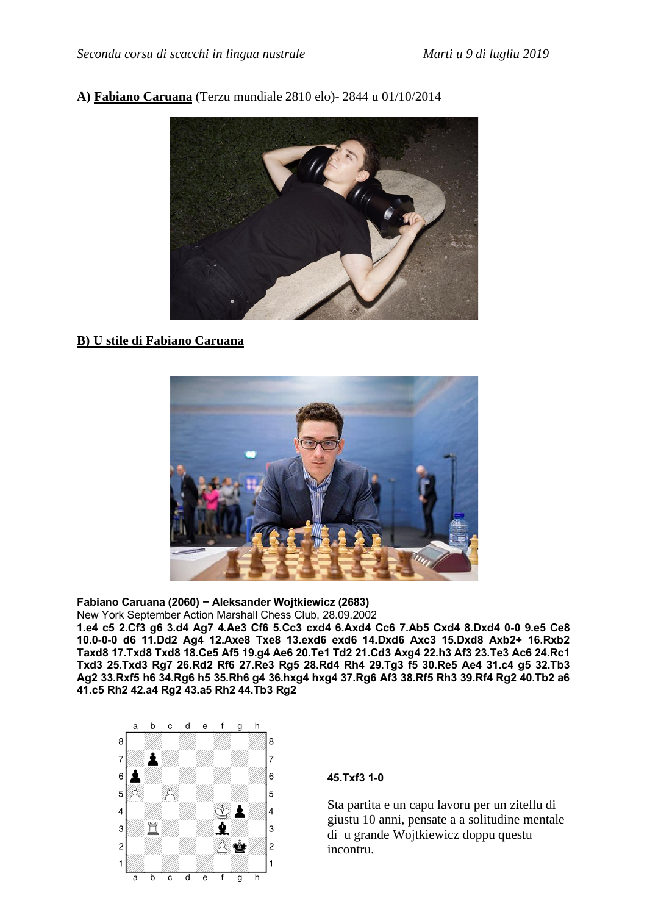## **A) Fabiano Caruana** (Terzu mundiale 2810 elo)- 2844 u 01/10/2014



# **B) U stile di Fabiano Caruana**



#### **Fabiano Caruana (2060) - Aleksander Wojtkiewicz (2683)**

New York September Action Marshall Chess Club, 28.09.2002

**1.e4 c5 2.Cf3 g6 3.d4 Ag7 4.Ae3 Cf6 5.Cc3 cxd4 6.Axd4 Cc6 7.Ab5 Cxd4 8.Dxd4 0–0 9.e5 Ce8 10.0–0–0 d6 11.Dd2 Ag4 12.Axe8 Txe8 13.exd6 exd6 14.Dxd6 Axc3 15.Dxd8 Axb2+ 16.Rxb2 Taxd8 17.Txd8 Txd8 18.Ce5 Af5 19.g4 Ae6 20.Te1 Td2 21.Cd3 Axg4 22.h3 Af3 23.Te3 Ac6 24.Rc1 Txd3 25.Txd3 Rg7 26.Rd2 Rf6 27.Re3 Rg5 28.Rd4 Rh4 29.Tg3 f5 30.Re5 Ae4 31.c4 g5 32.Tb3 Ag2 33.Rxf5 h6 34.Rg6 h5 35.Rh6 g4 36.hxg4 hxg4 37.Rg6 Af3 38.Rf5 Rh3 39.Rf4 Rg2 40.Tb2 a6 41.c5 Rh2 42.a4 Rg2 43.a5 Rh2 44.Tb3 Rg2** 



#### **45.Txf3 1–0**

Sta partita e un capu lavoru per un zitellu di giustu 10 anni, pensate a a solitudine mentale di u grande Wojtkiewicz doppu questu incontru.